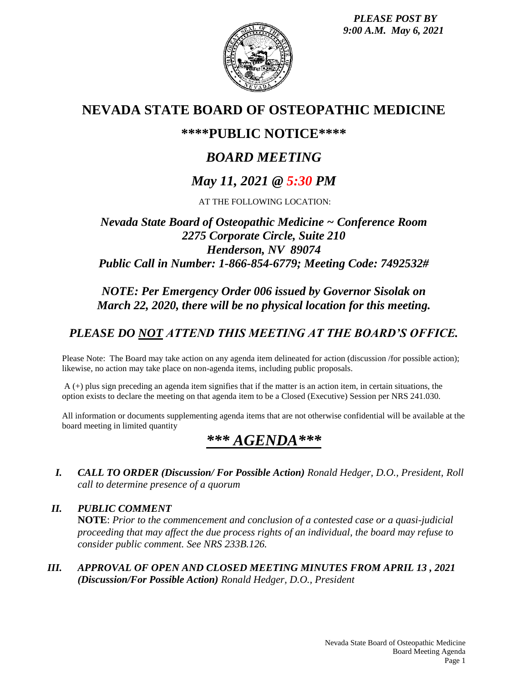*PLEASE POST BY 9:00 A.M. May 6, 2021*



# **NEVADA STATE BOARD OF OSTEOPATHIC MEDICINE**

## **\*\*\*\*PUBLIC NOTICE\*\*\*\***

# *BOARD MEETING*

# *May 11, 2021 @ 5:30 PM*

AT THE FOLLOWING LOCATION:

## *Nevada State Board of Osteopathic Medicine ~ Conference Room 2275 Corporate Circle, Suite 210 Henderson, NV 89074 Public Call in Number: 1-866-854-6779; Meeting Code: 7492532#*

## *NOTE: Per Emergency Order 006 issued by Governor Sisolak on March 22, 2020, there will be no physical location for this meeting.*

## *PLEASE DO NOT ATTEND THIS MEETING AT THE BOARD'S OFFICE.*

Please Note: The Board may take action on any agenda item delineated for action (discussion /for possible action); likewise, no action may take place on non-agenda items, including public proposals.

A (+) plus sign preceding an agenda item signifies that if the matter is an action item, in certain situations, the option exists to declare the meeting on that agenda item to be a Closed (Executive) Session per NRS 241.030.

All information or documents supplementing agenda items that are not otherwise confidential will be available at the board meeting in limited quantity

# *\*\*\* AGENDA\*\*\**

*I. CALL TO ORDER (Discussion/ For Possible Action) Ronald Hedger, D.O., President, Roll call to determine presence of a quorum*

*II. PUBLIC COMMENT* **NOTE**: *Prior to the commencement and conclusion of a contested case or a quasi-judicial proceeding that may affect the due process rights of an individual, the board may refuse to consider public comment. See NRS 233B.126.*

*III. APPROVAL OF OPEN AND CLOSED MEETING MINUTES FROM APRIL 13 , 2021 (Discussion/For Possible Action) Ronald Hedger, D.O., President*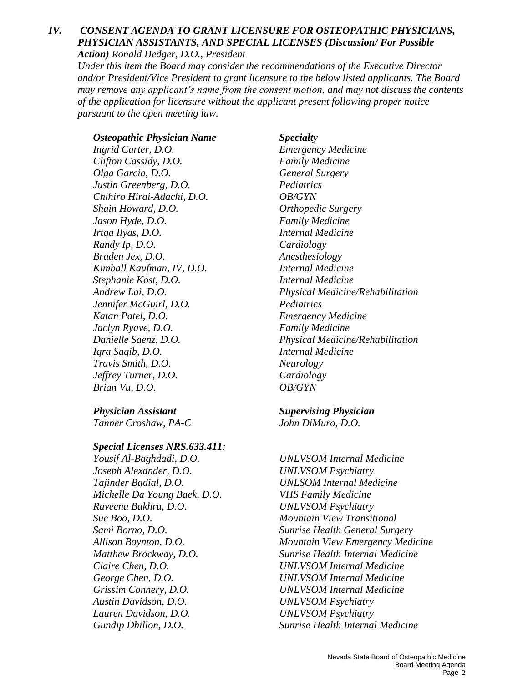#### *IV. CONSENT AGENDA TO GRANT LICENSURE FOR OSTEOPATHIC PHYSICIANS, PHYSICIAN ASSISTANTS, AND SPECIAL LICENSES (Discussion/ For Possible Action) Ronald Hedger, D.O., President*

*Under this item the Board may consider the recommendations of the Executive Director and/or President/Vice President to grant licensure to the below listed applicants. The Board may remove any applicant's name from the consent motion, and may not discuss the contents of the application for licensure without the applicant present following proper notice pursuant to the open meeting law.*

### *Osteopathic Physician Name Specialty*

*Clifton Cassidy, D.O. Family Medicine Olga Garcia, D.O. General Surgery Justin Greenberg, D.O. Pediatrics Chihiro Hirai-Adachi, D.O. OB/GYN Shain Howard, D.O. Orthopedic Surgery Jason Hyde, D.O. Family Medicine Irtqa Ilyas, D.O. Internal Medicine Randy Ip, D.O. Cardiology Braden Jex, D.O. Anesthesiology Kimball Kaufman, IV, D.O. Internal Medicine Stephanie Kost, D.O. Internal Medicine Jennifer McGuirl, D.O. Pediatrics Katan Patel, D.O. Emergency Medicine Jaclyn Ryave, D.O. Family Medicine Iqra Saqib, D.O. Internal Medicine Travis Smith, D.O. Neurology Jeffrey Turner, D.O. Cardiology Brian Vu, D.O. OB/GYN*

*Physician Assistant Supervising Physician Tanner Croshaw, PA-C John DiMuro, D.O.*

*Special Licenses NRS.633.411:*

*Yousif Al-Baghdadi, D.O. UNLVSOM Internal Medicine Joseph Alexander, D.O. UNLVSOM Psychiatry Tajinder Badial, D.O. UNLSOM Internal Medicine Michelle Da Young Baek, D.O. VHS Family Medicine Raveena Bakhru, D.O. UNLVSOM Psychiatry Sue Boo, D.O. Mountain View Transitional Claire Chen, D.O. UNLVSOM Internal Medicine George Chen, D.O. UNLVSOM Internal Medicine Grissim Connery, D.O. UNLVSOM Internal Medicine Austin Davidson, D.O. UNLVSOM Psychiatry Lauren Davidson, D.O. UNLVSOM Psychiatry*

*Ingrid Carter, D.O. Emergency Medicine Andrew Lai, D.O. Physical Medicine/Rehabilitation Danielle Saenz, D.O. Physical Medicine/Rehabilitation*

*Sami Borno, D.O. Sunrise Health General Surgery Allison Boynton, D.O. Mountain View Emergency Medicine Matthew Brockway, D.O. Sunrise Health Internal Medicine Gundip Dhillon, D.O. Sunrise Health Internal Medicine*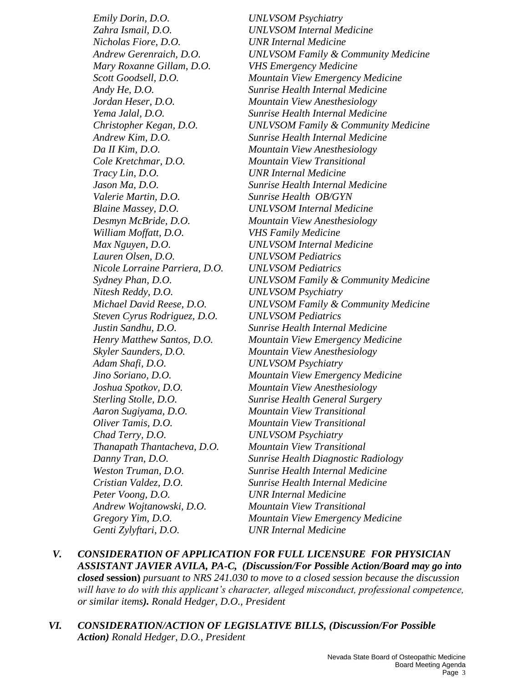*Emily Dorin, D.O. UNLVSOM Psychiatry Zahra Ismail, D.O. UNLVSOM Internal Medicine Nicholas Fiore, D.O. UNR Internal Medicine Mary Roxanne Gillam, D.O. VHS Emergency Medicine Jordan Heser, D.O. Mountain View Anesthesiology Da II Kim, D.O. Mountain View Anesthesiology Cole Kretchmar, D.O. Mountain View Transitional Tracy Lin, D.O. UNR Internal Medicine Valerie Martin, D.O. Sunrise Health OB/GYN Blaine Massey, D.O. UNLVSOM Internal Medicine Desmyn McBride, D.O. Mountain View Anesthesiology William Moffatt, D.O. VHS Family Medicine Max Nguyen, D.O. UNLVSOM Internal Medicine Lauren Olsen, D.O. UNLVSOM Pediatrics Nicole Lorraine Parriera, D.O. UNLVSOM Pediatrics Nitesh Reddy, D.O. UNLVSOM Psychiatry Steven Cyrus Rodriguez, D.O. UNLVSOM Pediatrics Skyler Saunders, D.O. Mountain View Anesthesiology Adam Shafi, D.O. UNLVSOM Psychiatry Joshua Spotkov, D.O. Mountain View Anesthesiology Aaron Sugiyama, D.O. Mountain View Transitional Oliver Tamis, D.O. Mountain View Transitional Chad Terry, D.O. UNLVSOM Psychiatry Thanapath Thantacheva, D.O. Mountain View Transitional Peter Voong, D.O. UNR Internal Medicine Andrew Wojtanowski, D.O. Mountain View Transitional Genti Zylyftari, D.O. UNR Internal Medicine* 

*Andrew Gerenraich, D.O. UNLVSOM Family & Community Medicine Scott Goodsell, D.O. Mountain View Emergency Medicine Andy He, D.O. Sunrise Health Internal Medicine Yema Jalal, D.O. Sunrise Health Internal Medicine Christopher Kegan, D.O. UNLVSOM Family & Community Medicine Andrew Kim, D.O. Sunrise Health Internal Medicine Jason Ma, D.O. Sunrise Health Internal Medicine Sydney Phan, D.O. UNLVSOM Family & Community Medicine Michael David Reese, D.O. UNLVSOM Family & Community Medicine Justin Sandhu, D.O. Sunrise Health Internal Medicine Henry Matthew Santos, D.O. Mountain View Emergency Medicine Jino Soriano, D.O. Mountain View Emergency Medicine Sterling Stolle, D.O. Sunrise Health General Surgery Danny Tran, D.O. Sunrise Health Diagnostic Radiology Weston Truman, D.O. Sunrise Health Internal Medicine Cristian Valdez, D.O. Sunrise Health Internal Medicine Gregory Yim, D.O. Mountain View Emergency Medicine* 

- *V. CONSIDERATION OF APPLICATION FOR FULL LICENSURE FOR PHYSICIAN ASSISTANT JAVIER AVILA, PA-C, (Discussion/For Possible Action/Board may go into closed* **session)** *pursuant to NRS 241.030 to move to a closed session because the discussion will have to do with this applicant's character, alleged misconduct, professional competence, or similar items). Ronald Hedger, D.O., President*
- *VI. CONSIDERATION/ACTION OF LEGISLATIVE BILLS, (Discussion/For Possible Action) Ronald Hedger, D.O., President*